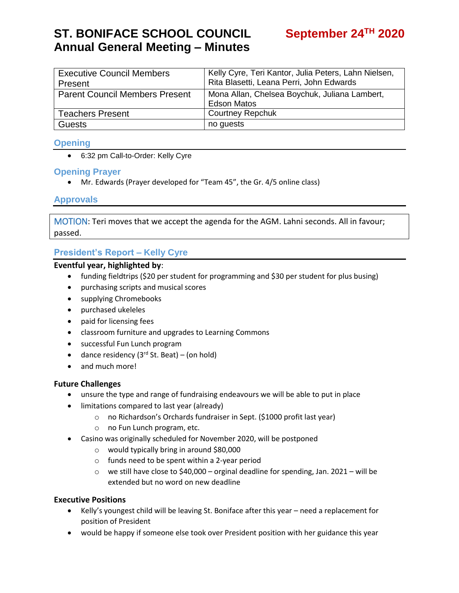# **ST. BONIFACE SCHOOL COUNCIL Annual General Meeting – Minutes**

| <b>Executive Council Members</b>      | Kelly Cyre, Teri Kantor, Julia Peters, Lahn Nielsen, |
|---------------------------------------|------------------------------------------------------|
| Present                               | Rita Blasetti, Leana Perri, John Edwards             |
| <b>Parent Council Members Present</b> | Mona Allan, Chelsea Boychuk, Juliana Lambert,        |
|                                       | <b>Edson Matos</b>                                   |
| <b>Teachers Present</b>               | <b>Courtney Repchuk</b>                              |
| <b>Guests</b>                         | no guests                                            |

### **Opening**

6:32 pm Call-to-Order: Kelly Cyre

### **Opening Prayer**

Mr. Edwards (Prayer developed for "Team 45", the Gr. 4/5 online class)

### **Approvals**

MOTION: Teri moves that we accept the agenda for the AGM. Lahni seconds. All in favour; passed.

### **President's Report – Kelly Cyre**

#### **Eventful year, highlighted by**:

- funding fieldtrips (\$20 per student for programming and \$30 per student for plus busing)
- purchasing scripts and musical scores
- supplying Chromebooks
- purchased ukeleles
- paid for licensing fees
- classroom furniture and upgrades to Learning Commons
- successful Fun Lunch program
- dance residency  $(3<sup>rd</sup>$  St. Beat) (on hold)
- and much more!

### **Future Challenges**

- unsure the type and range of fundraising endeavours we will be able to put in place
- limitations compared to last year (already)
	- o no Richardson's Orchards fundraiser in Sept. (\$1000 profit last year)
	- o no Fun Lunch program, etc.
- Casino was originally scheduled for November 2020, will be postponed
	- o would typically bring in around \$80,000
	- o funds need to be spent within a 2-year period
	- $\circ$  we still have close to \$40,000 orginal deadline for spending, Jan. 2021 will be extended but no word on new deadline

### **Executive Positions**

- Kelly's youngest child will be leaving St. Boniface after this year need a replacement for position of President
- would be happy if someone else took over President position with her guidance this year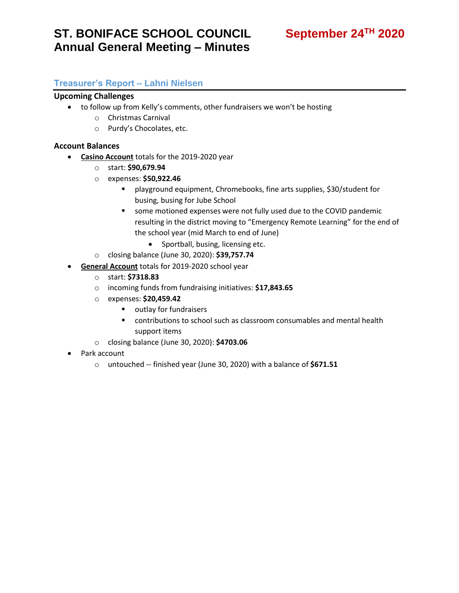# **ST. BONIFACE SCHOOL COUNCIL Annual General Meeting – Minutes**

## September 24<sup>TH</sup> 2020

### **Treasurer's Report – Lahni Nielsen**

#### **Upcoming Challenges**

- to follow up from Kelly's comments, other fundraisers we won't be hosting
	- o Christmas Carnival
	- o Purdy's Chocolates, etc.

#### **Account Balances**

- **Casino Account** totals for the 2019-2020 year
	- o start: **\$90,679.94**
	- o expenses: **\$50,922.46**
		- playground equipment, Chromebooks, fine arts supplies, \$30/student for busing, busing for Jube School
		- some motioned expenses were not fully used due to the COVID pandemic resulting in the district moving to "Emergency Remote Learning" for the end of the school year (mid March to end of June)
			- Sportball, busing, licensing etc.
	- o closing balance (June 30, 2020): **\$39,757.74**
- **General Account** totals for 2019-2020 school year
	- o start: **\$7318.83**
	- o incoming funds from fundraising initiatives: **\$17,843.65**
	- o expenses: **\$20,459.42**
		- outlay for fundraisers
		- contributions to school such as classroom consumables and mental health support items
	- o closing balance (June 30, 2020): **\$4703.06**
- Park account
	- o untouched -- finished year (June 30, 2020) with a balance of **\$671.51**